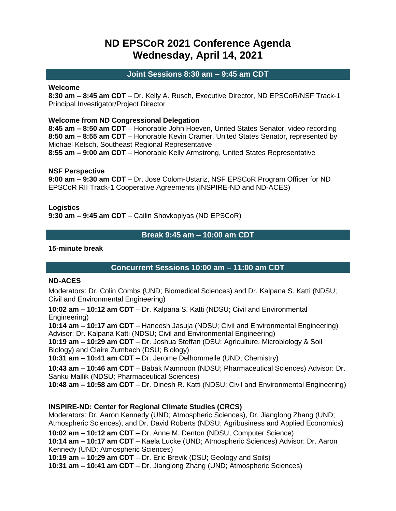# **ND EPSCoR 2021 Conference Agenda Wednesday, April 14, 2021**

### **Joint Sessions 8:30 am – 9:45 am CDT**

#### **Welcome**

**8:30 am – 8:45 am CDT** – Dr. Kelly A. Rusch, Executive Director, ND EPSCoR/NSF Track-1 Principal Investigator/Project Director

#### **Welcome from ND Congressional Delegation**

**8:45 am – 8:50 am CDT** – Honorable John Hoeven, United States Senator, video recording **8:50 am – 8:55 am CDT** – Honorable Kevin Cramer, United States Senator, represented by Michael Kelsch, Southeast Regional Representative

**8:55 am – 9:00 am CDT** – Honorable Kelly Armstrong, United States Representative

#### **NSF Perspective**

**9:00 am – 9:30 am CDT** – Dr. Jose Colom-Ustariz, NSF EPSCoR Program Officer for ND EPSCoR RII Track-1 Cooperative Agreements (INSPIRE-ND and ND-ACES)

**Logistics**

**9:30 am – 9:45 am CDT** – Cailin Shovkoplyas (ND EPSCoR)

# **Break 9:45 am – 10:00 am CDT**

#### **15-minute break**

# **Concurrent Sessions 10:00 am – 11:00 am CDT**

#### **ND-ACES**

Moderators: Dr. Colin Combs (UND; Biomedical Sciences) and Dr. Kalpana S. Katti (NDSU; Civil and Environmental Engineering)

**10:02 am – 10:12 am CDT** – Dr. Kalpana S. Katti (NDSU; Civil and Environmental Engineering)

**10:14 am – 10:17 am CDT** – Haneesh Jasuja (NDSU; Civil and Environmental Engineering) Advisor: Dr. Kalpana Katti (NDSU; Civil and Environmental Engineering)

**10:19 am – 10:29 am CDT** – Dr. Joshua Steffan (DSU; Agriculture, Microbiology & Soil Biology) and Claire Zumbach (DSU; Biology)

**10:31 am – 10:41 am CDT** – Dr. Jerome Delhommelle (UND; Chemistry)

**10:43 am – 10:46 am CDT** – Babak Mamnoon (NDSU; Pharmaceutical Sciences) Advisor: Dr. Sanku Mallik (NDSU; Pharmaceutical Sciences)

**10:48 am – 10:58 am CDT** – Dr. Dinesh R. Katti (NDSU; Civil and Environmental Engineering)

# **INSPIRE-ND: Center for Regional Climate Studies (CRCS)**

Moderators: Dr. Aaron Kennedy (UND; Atmospheric Sciences), Dr. Jianglong Zhang (UND; Atmospheric Sciences), and Dr. David Roberts (NDSU; Agribusiness and Applied Economics)

**10:02 am – 10:12 am CDT** – Dr. Anne M. Denton (NDSU; Computer Science)

**10:14 am – 10:17 am CDT** – Kaela Lucke (UND; Atmospheric Sciences) Advisor: Dr. Aaron Kennedy (UND; Atmospheric Sciences)

**10:19 am – 10:29 am CDT** – Dr. Eric Brevik (DSU; Geology and Soils)

**10:31 am – 10:41 am CDT** – Dr. Jianglong Zhang (UND; Atmospheric Sciences)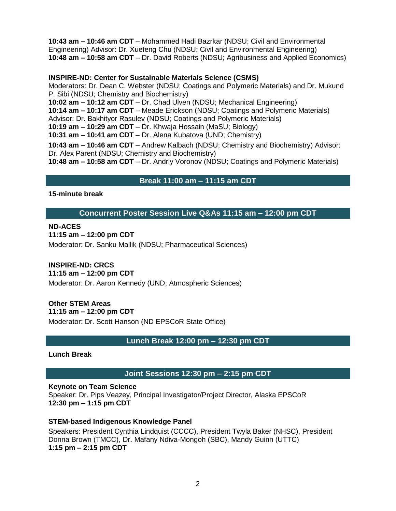**10:43 am – 10:46 am CDT** – Mohammed Hadi Bazrkar (NDSU; Civil and Environmental Engineering) Advisor: Dr. Xuefeng Chu (NDSU; Civil and Environmental Engineering) **10:48 am – 10:58 am CDT** – Dr. David Roberts (NDSU; Agribusiness and Applied Economics)

### **INSPIRE-ND: Center for Sustainable Materials Science (CSMS)**

Moderators: Dr. Dean C. Webster (NDSU; Coatings and Polymeric Materials) and Dr. Mukund P. Sibi (NDSU; Chemistry and Biochemistry) **10:02 am – 10:12 am CDT** – Dr. Chad Ulven (NDSU; Mechanical Engineering) **10:14 am – 10:17 am CDT** – Meade Erickson (NDSU; Coatings and Polymeric Materials) Advisor: Dr. Bakhityor Rasulev (NDSU; Coatings and Polymeric Materials) **10:19 am – 10:29 am CDT** – Dr. Khwaja Hossain (MaSU; Biology) **10:31 am – 10:41 am CDT** – Dr. Alena Kubatova (UND; Chemistry) **10:43 am – 10:46 am CDT** – Andrew Kalbach (NDSU; Chemistry and Biochemistry) Advisor: Dr. Alex Parent (NDSU; Chemistry and Biochemistry) **10:48 am – 10:58 am CDT** – Dr. Andriy Voronov (NDSU; Coatings and Polymeric Materials)

# **Break 11:00 am – 11:15 am CDT**

### **15-minute break**

**Concurrent Poster Session Live Q&As 11:15 am – 12:00 pm CDT**

### **ND-ACES**

**11:15 am – 12:00 pm CDT**

Moderator: Dr. Sanku Mallik (NDSU; Pharmaceutical Sciences)

# **INSPIRE-ND: CRCS**

**11:15 am – 12:00 pm CDT**

Moderator: Dr. Aaron Kennedy (UND; Atmospheric Sciences)

# **Other STEM Areas**

**11:15 am – 12:00 pm CDT**

Moderator: Dr. Scott Hanson (ND EPSCoR State Office)

# **Lunch Break 12:00 pm – 12:30 pm CDT**

**Lunch Break**

# **Joint Sessions 12:30 pm – 2:15 pm CDT**

#### **Keynote on Team Science**

Speaker: Dr. Pips Veazey, Principal Investigator/Project Director, Alaska EPSCoR **12:30 pm – 1:15 pm CDT**

# **STEM-based Indigenous Knowledge Panel**

Speakers: President Cynthia Lindquist (CCCC), President Twyla Baker (NHSC), President Donna Brown (TMCC), Dr. Mafany Ndiva-Mongoh (SBC), Mandy Guinn (UTTC) **1:15 pm – 2:15 pm CDT**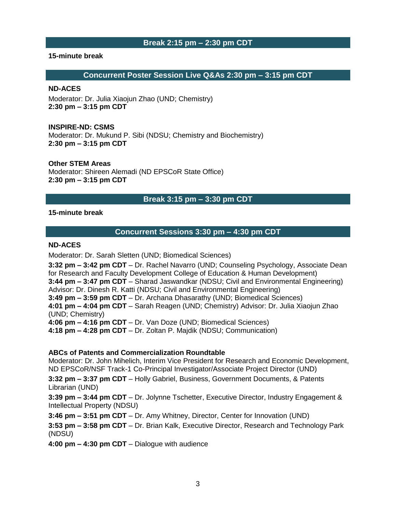### **Break 2:15 pm – 2:30 pm CDT**

#### **15-minute break**

#### **Concurrent Poster Session Live Q&As 2:30 pm – 3:15 pm CDT**

#### **ND-ACES**

Moderator: Dr. Julia Xiaojun Zhao (UND; Chemistry) **2:30 pm – 3:15 pm CDT**

#### **INSPIRE-ND: CSMS**

Moderator: Dr. Mukund P. Sibi (NDSU; Chemistry and Biochemistry) **2:30 pm – 3:15 pm CDT**

#### **Other STEM Areas**

Moderator: Shireen Alemadi (ND EPSCoR State Office) **2:30 pm – 3:15 pm CDT**

# **Break 3:15 pm – 3:30 pm CDT**

### **15-minute break**

### **Concurrent Sessions 3:30 pm – 4:30 pm CDT**

### **ND-ACES**

Moderator: Dr. Sarah Sletten (UND; Biomedical Sciences)

**3:32 pm – 3:42 pm CDT** – Dr. Rachel Navarro (UND; Counseling Psychology, Associate Dean for Research and Faculty Development College of Education & Human Development) **3:44 pm – 3:47 pm CDT** – Sharad Jaswandkar (NDSU; Civil and Environmental Engineering) Advisor: Dr. Dinesh R. Katti (NDSU; Civil and Environmental Engineering) **3:49 pm – 3:59 pm CDT** – Dr. Archana Dhasarathy (UND; Biomedical Sciences) **4:01 pm – 4:04 pm CDT** – Sarah Reagen (UND; Chemistry) Advisor: Dr. Julia Xiaojun Zhao (UND; Chemistry) **4:06 pm – 4:16 pm CDT** – Dr. Van Doze (UND; Biomedical Sciences) **4:18 pm – 4:28 pm CDT** – Dr. Zoltan P. Majdik (NDSU; Communication)

#### **ABCs of Patents and Commercialization Roundtable**

Moderator: Dr. John Mihelich, Interim Vice President for Research and Economic Development, ND EPSCoR/NSF Track-1 Co-Principal Investigator/Associate Project Director (UND) **3:32 pm – 3:37 pm CDT** – Holly Gabriel, Business, Government Documents, & Patents

Librarian (UND)

**3:39 pm – 3:44 pm CDT** – Dr. Jolynne Tschetter, Executive Director, Industry Engagement & Intellectual Property (NDSU)

**3:46 pm – 3:51 pm CDT** – Dr. Amy Whitney, Director, Center for Innovation (UND)

**3:53 pm – 3:58 pm CDT** – Dr. Brian Kalk, Executive Director, Research and Technology Park (NDSU)

**4:00 pm – 4:30 pm CDT** – Dialogue with audience